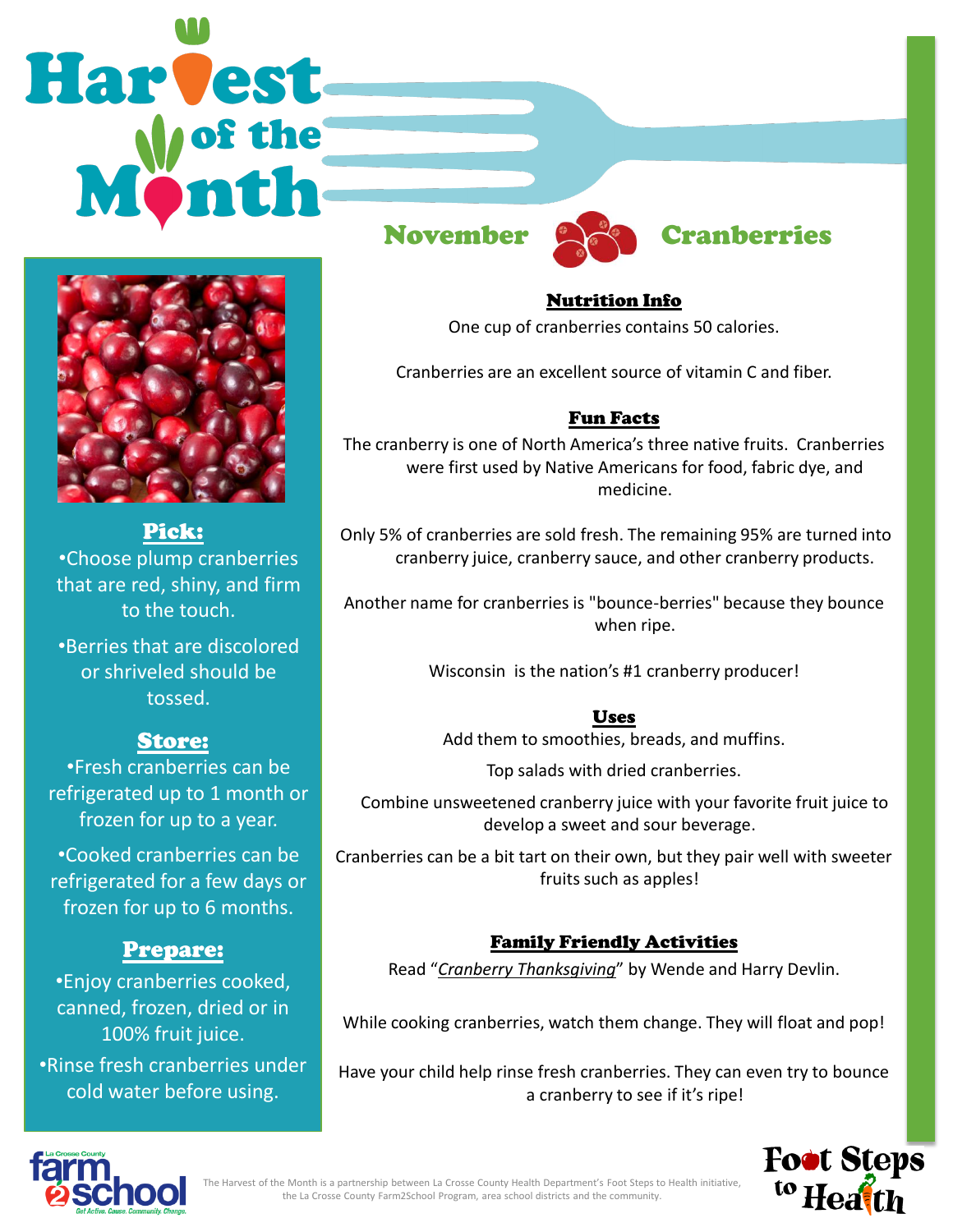# **Harvest**



#### Pick:

•Choose plump cranberries that are red, shiny, and firm to the touch.

•Berries that are discolored or shriveled should be tossed.

## Store:

•Fresh cranberries can be refrigerated up to 1 month or frozen for up to a year.

•Cooked cranberries can be refrigerated for a few days or frozen for up to 6 months.

#### Prepare:

•Enjoy cranberries cooked, canned, frozen, dried or in 100% fruit juice. •Rinse fresh cranberries under cold water before using.





# November **Called** Cranberries

Nutrition Info One cup of cranberries contains 50 calories.

Cranberries are an excellent source of vitamin C and fiber.

#### Fun Facts

The cranberry is one of North America's three native fruits. Cranberries were first used by Native Americans for food, fabric dye, and medicine.

Only 5% of cranberries are sold fresh. The remaining 95% are turned into cranberry juice, cranberry sauce, and other cranberry products.

Another name for cranberries is "bounce-berries" because they bounce when ripe.

Wisconsin is the nation's #1 cranberry producer!

Uses Add them to smoothies, breads, and muffins.

Top salads with dried cranberries.

 Combine unsweetened cranberry juice with your favorite fruit juice to develop a sweet and sour beverage.

Cranberries can be a bit tart on their own, but they pair well with sweeter fruits such as apples!

#### Family Friendly Activities

Read "*Cranberry Thanksgiving*" by Wende and Harry Devlin.

While cooking cranberries, watch them change. They will float and pop!

Have your child help rinse fresh cranberries. They can even try to bounce a cranberry to see if it's ripe!